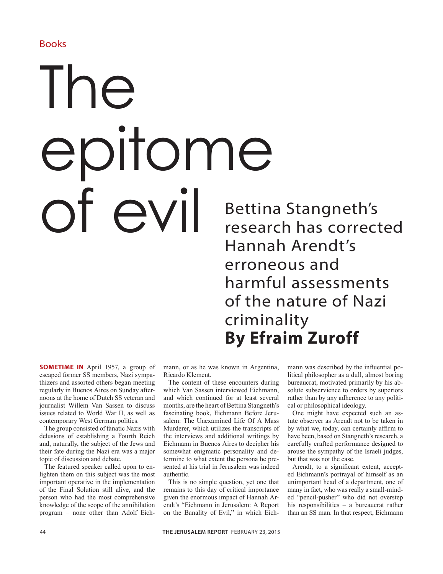## Books

## The epitome Of  $evil$  Bettina Stangneth's

research has corrected Hannah Arendt's erroneous and harmful assessments of the nature of Nazi criminality **By Efraim Zuroff**

**SOMETIME IN** April 1957, a group of escaped former SS members, Nazi sympathizers and assorted others began meeting regularly in Buenos Aires on Sunday afternoons at the home of Dutch SS veteran and journalist Willem Van Sassen to discuss issues related to World War II, as well as contemporary West German politics.

The group consisted of fanatic Nazis with delusions of establishing a Fourth Reich and, naturally, the subject of the Jews and their fate during the Nazi era was a major topic of discussion and debate.

The featured speaker called upon to enlighten them on this subject was the most important operative in the implementation of the Final Solution still alive, and the person who had the most comprehensive knowledge of the scope of the annihilation program – none other than Adolf Eichmann, or as he was known in Argentina, Ricardo Klement.

The content of these encounters during which Van Sassen interviewed Eichmann, and which continued for at least several months, are the heart of Bettina Stangneth's fascinating book, Eichmann Before Jerusalem: The Unexamined Life Of A Mass Murderer, which utilizes the transcripts of the interviews and additional writings by Eichmann in Buenos Aires to decipher his somewhat enigmatic personality and determine to what extent the persona he presented at his trial in Jerusalem was indeed authentic.

This is no simple question, yet one that remains to this day of critical importance given the enormous impact of Hannah Arendt's "Eichmann in Jerusalem: A Report on the Banality of Evil," in which Eichmann was described by the influential political philosopher as a dull, almost boring bureaucrat, motivated primarily by his absolute subservience to orders by superiors rather than by any adherence to any political or philosophical ideology.

One might have expected such an astute observer as Arendt not to be taken in by what we, today, can certainly affirm to have been, based on Stangneth's research, a carefully crafted performance designed to arouse the sympathy of the Israeli judges, but that was not the case.

Arendt, to a significant extent, accepted Eichmann's portrayal of himself as an unimportant head of a department, one of many in fact, who was really a small-minded "pencil-pusher" who did not overstep his responsibilities – a bureaucrat rather than an SS man. In that respect, Eichmann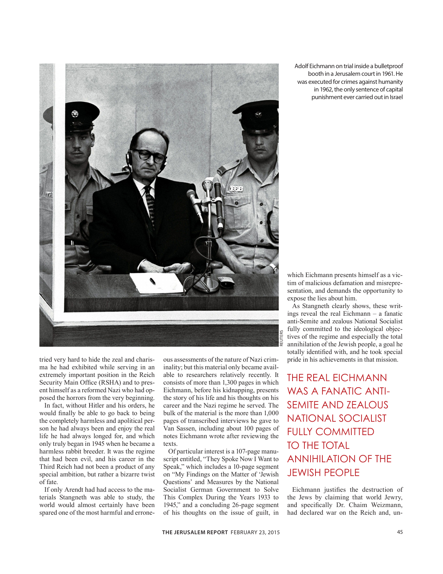

tried very hard to hide the zeal and charisma he had exhibited while serving in an extremely important position in the Reich Security Main Office (RSHA) and to present himself as a reformed Nazi who had opposed the horrors from the very beginning.

In fact, without Hitler and his orders, he would finally be able to go back to being the completely harmless and apolitical person he had always been and enjoy the real life he had always longed for, and which only truly began in 1945 when he became a harmless rabbit breeder. It was the regime that had been evil, and his career in the Third Reich had not been a product of any special ambition, but rather a bizarre twist of fate.

If only Arendt had had access to the materials Stangneth was able to study, the world would almost certainly have been spared one of the most harmful and erroneous assessments of the nature of Nazi criminality; but this material only became available to researchers relatively recently. It consists of more than 1,300 pages in which Eichmann, before his kidnapping, presents the story of his life and his thoughts on his career and the Nazi regime he served. The bulk of the material is the more than 1,000 pages of transcribed interviews he gave to Van Sassen, including about 100 pages of notes Eichmann wrote after reviewing the texts.

Of particular interest is a 107-page manuscript entitled, "They Spoke Now I Want to Speak," which includes a 10-page segment on "My Findings on the Matter of 'Jewish Questions' and Measures by the National Socialist German Government to Solve This Complex During the Years 1933 to 1945," and a concluding 26-page segment of his thoughts on the issue of guilt, in

Adolf Eichmann on trial inside a bulletproof booth in a Jerusalem court in 1961. He was executed for crimes against humanity in 1962, the only sentence of capital punishment ever carried out in Israel

which Eichmann presents himself as a victim of malicious defamation and misrepresentation, and demands the opportunity to expose the lies about him.

As Stangneth clearly shows, these writings reveal the real Eichmann – a fanatic anti-Semite and zealous National Socialist fully committed to the ideological objectives of the regime and especially the total annihilation of the Jewish people, a goal he totally identified with, and he took special pride in his achievements in that mission.

THE REAL EICHMANN WAS A FANATIC ANTI-SEMITE AND ZEALOUS NATIONAL SOCIALIST FULLY COMMITTED TO THE TOTAL ANNIHILATION OF THE JEWISH PEOPLE

Eichmann justifies the destruction of the Jews by claiming that world Jewry, and specifically Dr. Chaim Weizmann, had declared war on the Reich and, un-